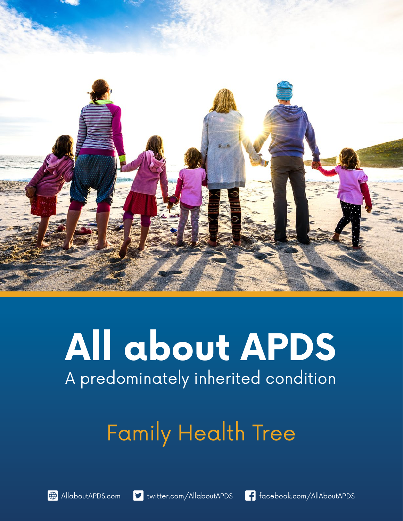

# **All about APDS** A predominately inherited condition

# Family Health Tree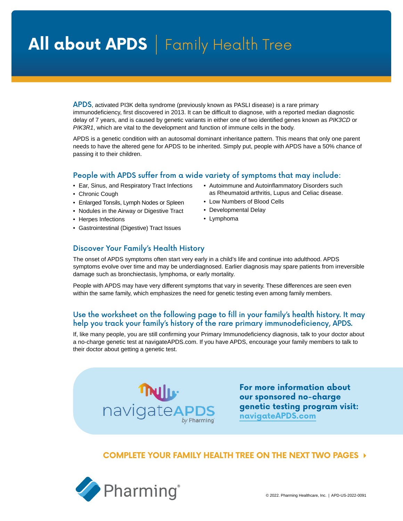## All about APDS | Family Health Tree

APDS, activated PI3K delta syndrome (previously known as PASLI disease) is a rare primary immunodeficiency, first discovered in 2013. It can be difficult to diagnose, with a reported median diagnostic delay of 7 years, and is caused by genetic variants in either one of two identified genes known as *PIK3CD* or *PIK3R1*, which are vital to the development and function of immune cells in the body.

APDS is a genetic condition with an autosomal dominant inheritance pattern. This means that only one parent needs to have the altered gene for APDS to be inherited. Simply put, people with APDS have a 50% chance of passing it to their children.

#### People with APDS suffer from a wide variety of symptoms that may include:

- Ear, Sinus, and Respiratory Tract Infections
- Chronic Cough
- Enlarged Tonsils, Lymph Nodes or Spleen
- Nodules in the Airway or Digestive Tract
- Herpes Infections
- Gastrointestinal (Digestive) Tract Issues
- Autoimmune and Autoinflammatory Disorders such as Rheumatoid arthritis, Lupus and Celiac disease.
- Low Numbers of Blood Cells
- Developmental Delay
- Lymphoma

### Discover Your Family's Health History

The onset of APDS symptoms often start very early in a child's life and continue into adulthood. APDS symptoms evolve over time and may be underdiagnosed. Earlier diagnosis may spare patients from irreversible damage such as bronchiectasis, lymphoma, or early mortality.

People with APDS may have very different symptoms that vary in severity. These differences are seen even within the same family, which emphasizes the need for genetic testing even among family members.

### Use the worksheet on the following page to fill in your family's health history. It may help you track your family's history of the rare primary immunodeficiency, APDS.

If, like many people, you are still confirming your Primary Immunodeficiency diagnosis, talk to your doctor about a no-charge genetic test at navigateAPDS.com. If you have APDS, encourage your family members to talk to their doctor about getting a genetic test.



**For more information about our sponsored no-charge genetic testing program visit: [navigateAPDS.com](https://navigateAPDS.com)**

### **COMPLETE YOUR FAMILY HEALTH TREE ON THE NEXT TWO PAGES**

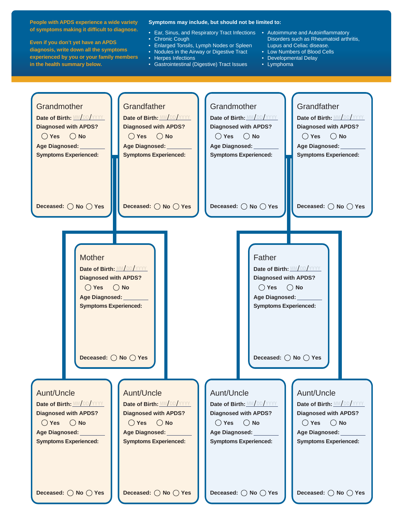**People with APDS experience a wide variety of symptoms making it difficult to diagnose.**

**Even if you don't yet have an APDS diagnosis, write down all the symptoms experienced by you or your family members in the health summary below.** 

#### **Symptoms may include, but should not be limited to:**

- Ear, Sinus, and Respiratory Tract Infections Autoimmune and Autoinflammatory • Chronic Cough
- Enlarged Tonsils, Lymph Nodes or Spleen
- Nodules in the Airway or Digestive Tract
- Herpes Infections
- Gastrointestinal (Digestive) Tract Issues
- Disorders such as Rheumatoid arthritis, Lupus and Celiac disease.
- Low Numbers of Blood Cells
- Developmental Delay
- Lymphoma

| Grandmother<br>Date of Birth: MM/DD/YYYY<br><b>Diagnosed with APDS?</b><br>$\bigcirc$ Yes $\bigcirc$ No<br>Age Diagnosed:<br><b>Symptoms Experienced:</b><br>Deceased: ◯ No ◯ Yes                                                                                                                                                                                                                                   | Grandfather<br>Date of Birth: MM/DD/YYYY<br><b>Diagnosed with APDS?</b><br>$\bigcirc$ Yes $\bigcirc$ No<br>Age Diagnosed: ________<br><b>Symptoms Experienced:</b><br>Deceased: $\bigcirc$ No $\bigcirc$ Yes | Grandmother<br>Date of Birth: MM/DD/YYYY<br><b>Diagnosed with APDS?</b><br>$\bigcirc$ Yes $\bigcirc$ No<br>Age Diagnosed: ________<br><b>Symptoms Experienced:</b><br>Deceased: $\bigcirc$ No $\bigcirc$ Yes              | Grandfather<br>Date of Birth: MM/DD/YYYY<br><b>Diagnosed with APDS?</b><br>$\bigcirc$ No<br>$()$ Yes<br>Age Diagnosed: ________<br><b>Symptoms Experienced:</b><br>Deceased: $\bigcirc$ No $\bigcirc$ Yes       |  |
|---------------------------------------------------------------------------------------------------------------------------------------------------------------------------------------------------------------------------------------------------------------------------------------------------------------------------------------------------------------------------------------------------------------------|--------------------------------------------------------------------------------------------------------------------------------------------------------------------------------------------------------------|---------------------------------------------------------------------------------------------------------------------------------------------------------------------------------------------------------------------------|-----------------------------------------------------------------------------------------------------------------------------------------------------------------------------------------------------------------|--|
| Mother<br>Father<br>Date of Birth: MM/DD/YYYY<br>Date of Birth: MM/DD/YYYY<br><b>Diagnosed with APDS?</b><br><b>Diagnosed with APDS?</b><br>$\bigcap$ Yes $\bigcap$ No<br>$\bigcirc$ No<br>$\bigcirc$ Yes<br>Age Diagnosed: ________<br>Age Diagnosed: ________<br><b>Symptoms Experienced:</b><br><b>Symptoms Experienced:</b><br>Deceased: $\bigcirc$ No $\bigcirc$ Yes<br>Deceased: $\bigcirc$ No $\bigcirc$ Yes |                                                                                                                                                                                                              |                                                                                                                                                                                                                           |                                                                                                                                                                                                                 |  |
| Aunt/Uncle<br>Date of Birth: MM/DD/YYYY<br><b>Diagnosed with APDS?</b><br>$\bigcap$ Yes $\bigcap$ No<br>Age Diagnosed: ________<br><b>Symptoms Experienced:</b><br>Deceased: ◯ No ◯ Yes                                                                                                                                                                                                                             | Aunt/Uncle<br>Date of Birth: MM/DD/YYYY<br><b>Diagnosed with APDS?</b><br>$\bigcirc$ Yes $\bigcirc$ No<br>Age Diagnosed: Name of Age Diagnosed:<br><b>Symptoms Experienced:</b><br>Deceased: ◯ No ◯ Yes      | Aunt/Uncle<br>Date of Birth: MM/DD/YYYY<br><b>Diagnosed with APDS?</b><br>$\bigcirc$ Yes $\bigcirc$ No<br>Age Diagnosed: Name of Age Diagnosed:<br><b>Symptoms Experienced:</b><br>Deceased: $\bigcirc$ No $\bigcirc$ Yes | Aunt/Uncle<br>Date of Birth: MM/DD/YYYY<br><b>Diagnosed with APDS?</b><br>$\bigcirc$ No<br>$\bigcirc$ Yes<br>Age Diagnosed: _________<br><b>Symptoms Experienced:</b><br>Deceased: $\bigcirc$ No $\bigcirc$ Yes |  |